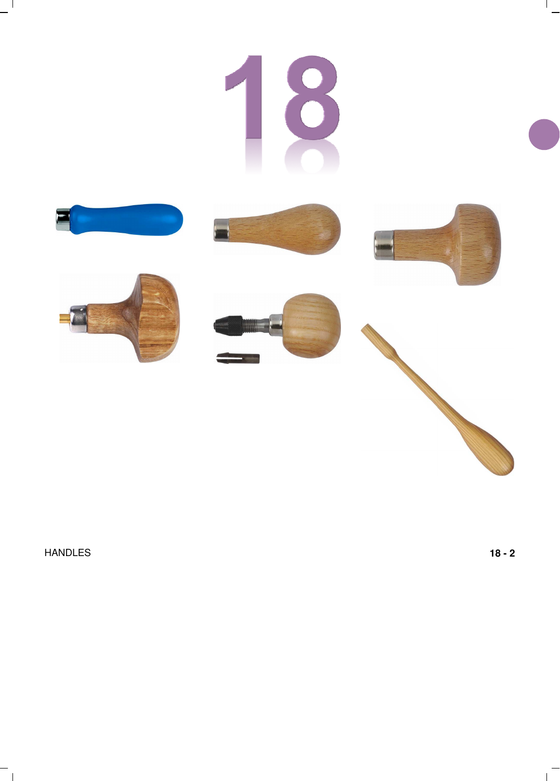

HANDLES **18 - 2**

 $^{-}$   $\overline{1}$ 

 $\mathbf{1}$ 

 $\mathbf{I}$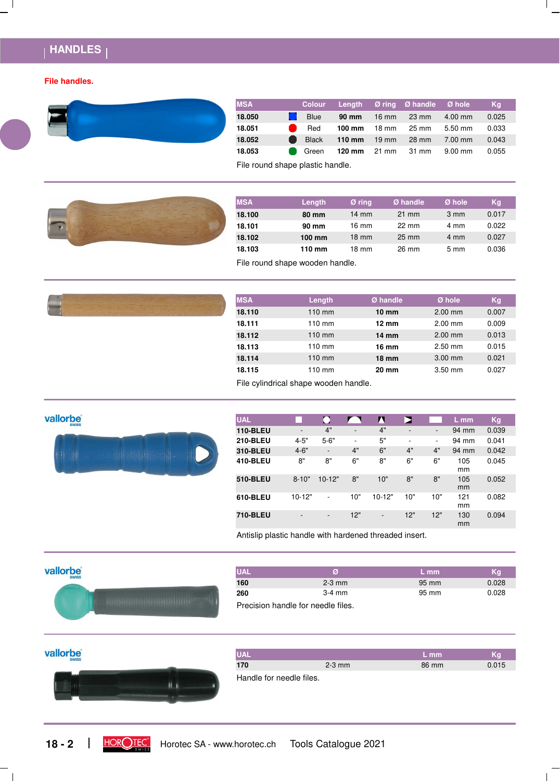# **HANDLES**

#### **File handles.**



| <b>MSA</b> |                                                                                                                                                                                                                                      |                                               | Colour Length Øring Øhandle Øhole |           | Kq    |
|------------|--------------------------------------------------------------------------------------------------------------------------------------------------------------------------------------------------------------------------------------|-----------------------------------------------|-----------------------------------|-----------|-------|
| 18.050     | Blue                                                                                                                                                                                                                                 | <b>90 mm</b> 16 mm 23 mm                      |                                   | $4.00$ mm | 0.025 |
| 18.051     | $\bullet$ Red                                                                                                                                                                                                                        | <b>100 mm</b> $18 \text{ mm}$ $25 \text{ mm}$ |                                   | $5.50$ mm | 0.033 |
| 18.052     |                                                                                                                                                                                                                                      | Black 110 mm 19 mm 28 mm                      |                                   | 7.00 mm   | 0.043 |
| 18.053     | <b>Contract Contract Contract Contract Contract Contract Contract Contract Contract Contract Contract Contract Contract Contract Contract Contract Contract Contract Contract Contract Contract Contract Contract Contract Contr</b> | <b>120 mm</b> $21$ mm $31$ mm                 |                                   | 9.00 mm   | 0.055 |

File round shape plastic handle.



| <b>MSA</b> | Length           | Ø ring          | Ø handle        | Ø hole         | Kg    |
|------------|------------------|-----------------|-----------------|----------------|-------|
| 18.100     | 80 mm            | $14 \text{ mm}$ | $21 \text{ mm}$ | $3 \text{ mm}$ | 0.017 |
| 18.101     | 90 mm            | 16 mm           | $22 \text{ mm}$ | 4 mm           | 0.022 |
| 18.102     | $100 \text{ mm}$ | $18 \text{ mm}$ | $25 \text{ mm}$ | 4 mm           | 0.027 |
| 18.103     | 110 mm           | 18 mm           | 26 mm           | $5 \text{ mm}$ | 0.036 |

File round shape wooden handle.

|  | <b>MSA</b> | Length           | Ø handle        | $Ø$ hole  | Kg    |
|--|------------|------------------|-----------------|-----------|-------|
|  | 18.110     | $110$ mm         | $10 \text{ mm}$ | $2.00$ mm | 0.007 |
|  | 18.111     | $110 \text{ mm}$ | $12 \text{ mm}$ | $2.00$ mm | 0.009 |
|  | 18.112     | $110$ mm         | 14 mm           | $2.00$ mm | 0.013 |
|  | 18.113     | $110 \text{ mm}$ | 16 mm           | $2.50$ mm | 0.015 |
|  | 18.114     | $110$ mm         | $18 \text{ mm}$ | $3.00$ mm | 0.021 |
|  | 18.115     | $110 \text{ mm}$ | 20 mm           | $3.50$ mm | 0.027 |

File cylindrical shape wooden handle.

## **vallorbe**



| <b>UAL</b>      |                              |                              |                          | Л                        | Е                        |                          | L mm      | Kg    |
|-----------------|------------------------------|------------------------------|--------------------------|--------------------------|--------------------------|--------------------------|-----------|-------|
| <b>110-BLEU</b> | $\overline{\phantom{a}}$     | 4"                           | $\overline{\phantom{a}}$ | 4"                       | $\overline{\phantom{a}}$ | $\overline{\phantom{a}}$ | 94 mm     | 0.039 |
| <b>210-BLEU</b> | $4 - 5"$                     | $5 - 6"$                     | ٠                        | 5"                       | $\overline{\phantom{a}}$ | ۰                        | 94 mm     | 0.041 |
| 310-BLEU        | $4 - 6"$                     | $\overline{\phantom{a}}$     | 4"                       | 6"                       | 4"                       | 4"                       | 94 mm     | 0.042 |
| <b>410-BLEU</b> | 8"                           | 8"                           | 6"                       | 8"                       | 6"                       | 6"                       | 105<br>mm | 0.045 |
| 510-BLEU        | $8 - 10"$                    | $10 - 12"$                   | 8"                       | 10"                      | 8"                       | 8"                       | 105<br>mm | 0.052 |
| 610-BLEU        | 10-12"                       | ۰                            | 10"                      | $10 - 12"$               | 10"                      | 10"                      | 121<br>mm | 0.082 |
| 710-BLEU        | $\qquad \qquad \blacksquare$ | $\qquad \qquad \blacksquare$ | 12"                      | $\overline{\phantom{0}}$ | 12"                      | 12"                      | 130<br>mm | 0.094 |

Antislip plastic handle with hardened threaded insert.



| <b>UAL</b> | Ø                                  | $L$ mm          | Kq    |
|------------|------------------------------------|-----------------|-------|
| 160        | $2-3$ mm                           | $95 \text{ mm}$ | 0.028 |
| 260        | $3-4$ mm                           | 95 mm           | 0.028 |
|            | Precision handle for needle files. |                 |       |

## vallorbe



| <b>UAL</b>               |          | $\nabla$ mm $\nabla$ | Κa    |
|--------------------------|----------|----------------------|-------|
| 170                      | $2-3$ mm | 86 mm                | 0.015 |
| Handle for needle files. |          |                      |       |



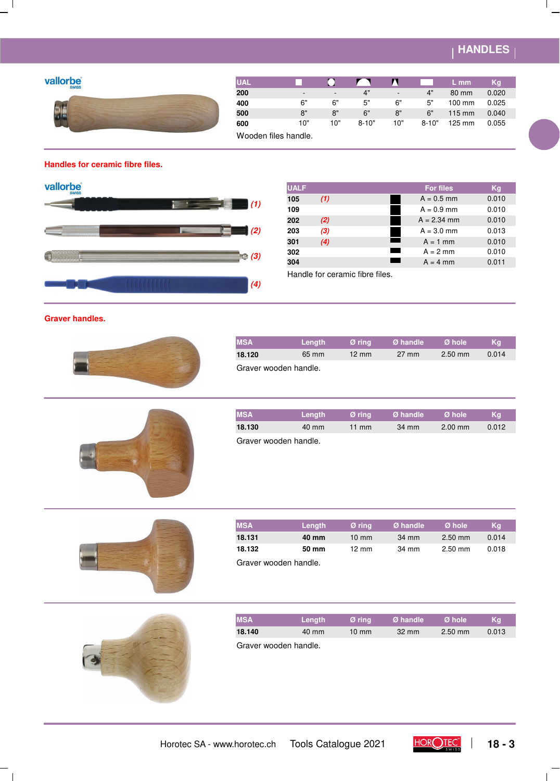# **HANDLES**

## **vallorbe**



| <b>UAL</b>           |     |                          |           | 7 V                      |           | $L$ mm           | Kq    |  |
|----------------------|-----|--------------------------|-----------|--------------------------|-----------|------------------|-------|--|
| 200                  |     | $\overline{\phantom{a}}$ | 4"        | $\overline{\phantom{a}}$ | 4"        | 80 mm            | 0.020 |  |
| 400                  | 6"  | 6"                       | 5"        | 6"                       | 5"        | $100$ mm         | 0.025 |  |
| 500                  | 8"  | 8"                       | 6"        | 8"                       | 6"        | $115 \text{ mm}$ | 0.040 |  |
| 600                  | 10" | 10"                      | $8 - 10"$ | 10"                      | $8 - 10"$ | 125 mm           | 0.055 |  |
| Wooden files handle. |     |                          |           |                          |           |                  |       |  |

## **Handles for ceramic fibre files.**



| <b>UALF</b> |     | <b>For files</b> | Kg    |
|-------------|-----|------------------|-------|
| 105         | (1) | $A = 0.5$ mm     | 0.010 |
| 109         |     | $A = 0.9$ mm     | 0.010 |
| 202         | (2) | $A = 2.34$ mm    | 0.010 |
| 203         | (3) | $A = 3.0$ mm     | 0.013 |
| 301         | (4) | $A = 1$ mm       | 0.010 |
| 302         |     | $A = 2$ mm       | 0.010 |
| 304         |     | $A = 4$ mm       | 0.011 |

Handle for ceramic fibre files.

### **Graver handles.**



| <b>IMSA</b>           | <b>Lenath</b> | Ø rina          | Ø handle        | Ø hole    | Ka    |
|-----------------------|---------------|-----------------|-----------------|-----------|-------|
| 18.120                | 65 mm         | $12 \text{ mm}$ | $27 \text{ mm}$ | $2.50$ mm | 0.014 |
| Graver wooden handle. |               |                 |                 |           |       |



| <b>MSA</b>            | <b>Lenath</b>   | Ø rina          | Ø handle | Ø hole            | Ka    |  |  |
|-----------------------|-----------------|-----------------|----------|-------------------|-------|--|--|
| 18.130                | $40 \text{ mm}$ | $11 \text{ mm}$ | 34 mm    | $2.00 \text{ mm}$ | 0.012 |  |  |
| Graver wooden handle. |                 |                 |          |                   |       |  |  |

| - |  |
|---|--|
|   |  |
|   |  |
|   |  |
|   |  |
|   |  |
|   |  |
|   |  |
|   |  |
|   |  |
|   |  |



| <b>MSA</b> | <b>Lenath</b>         | Ø rina          | Ø handle | Ø hole    | Kq    |  |  |  |  |  |
|------------|-----------------------|-----------------|----------|-----------|-------|--|--|--|--|--|
| 18.131     | 40 mm                 | $10 \text{ mm}$ | 34 mm    | $2.50$ mm | 0.014 |  |  |  |  |  |
| 18.132     | 50 mm                 | $12 \text{ mm}$ | 34 mm    | $2.50$ mm | 0.018 |  |  |  |  |  |
|            | Graver wooden handle. |                 |          |           |       |  |  |  |  |  |



 $^{-}$  1

| <b>MSA</b>            | Lenath          | Ø rina          | Ø handle        | Ø hole    | Ka    |
|-----------------------|-----------------|-----------------|-----------------|-----------|-------|
| 18.140                | $40 \text{ mm}$ | $10 \text{ mm}$ | $32 \text{ mm}$ | $2.50$ mm | 0.013 |
| Graver wooden handle. |                 |                 |                 |           |       |